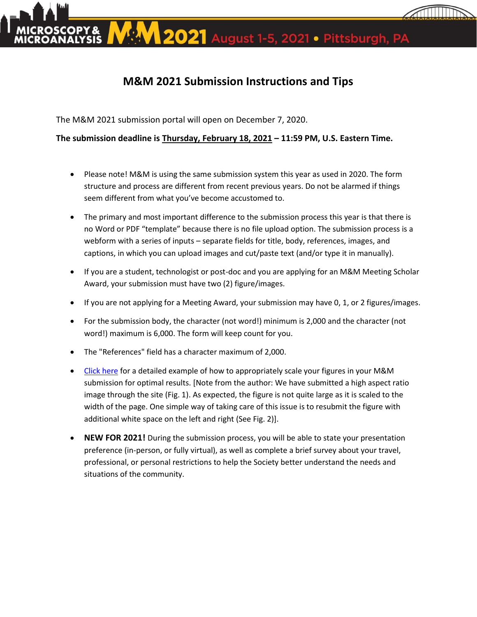

2021 August 1-5, 2021 . Pittsburgh, PA

## **M&M 2021 Submission Instructions and Tips**

The M&M 2021 submission portal will open on December 7, 2020.

**The submission deadline is Thursday, February 18, 2021 – 11:59 PM, U.S. Eastern Time.**

- Please note! M&M is using the same submission system this year as used in 2020. The form structure and process are different from recent previous years. Do not be alarmed if things seem different from what you've become accustomed to.
- The primary and most important difference to the submission process this year is that there is no Word or PDF "template" because there is no file upload option. The submission process is a webform with a series of inputs – separate fields for title, body, references, images, and captions, in which you can upload images and cut/paste text (and/or type it in manually).
- If you are a student, technologist or post-doc and you are applying for an M&M Meeting Scholar Award, your submission must have two (2) figure/images.
- If you are not applying for a Meeting Award, your submission may have 0, 1, or 2 figures/images.
- For the submission body, the character (not word!) minimum is 2,000 and the character (not word!) maximum is 6,000. The form will keep count for you.
- The "References" field has a character maximum of 2,000.
- [Click here](https://www.microscopy.org/MandM/2020/program/Preview-Call-for-Submissions.pdf) for a detailed example of how to appropriately scale your figures in your M&M submission for optimal results. [Note from the author: We have submitted a high aspect ratio image through the site (Fig. 1). As expected, the figure is not quite large as it is scaled to the width of the page. One simple way of taking care of this issue is to resubmit the figure with additional white space on the left and right (See Fig. 2)].
- **NEW FOR 2021!** During the submission process, you will be able to state your presentation preference (in-person, or fully virtual), as well as complete a brief survey about your travel, professional, or personal restrictions to help the Society better understand the needs and situations of the community.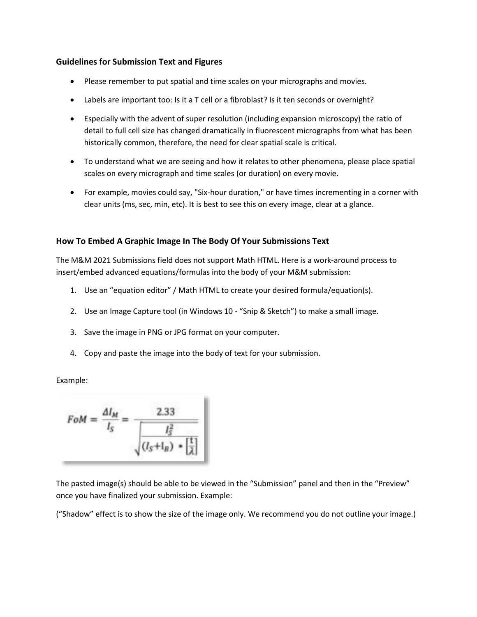## **Guidelines for Submission Text and Figures**

- Please remember to put spatial and time scales on your micrographs and movies.
- Labels are important too: Is it a T cell or a fibroblast? Is it ten seconds or overnight?
- Especially with the advent of super resolution (including expansion microscopy) the ratio of detail to full cell size has changed dramatically in fluorescent micrographs from what has been historically common, therefore, the need for clear spatial scale is critical.
- To understand what we are seeing and how it relates to other phenomena, please place spatial scales on every micrograph and time scales (or duration) on every movie.
- For example, movies could say, "Six-hour duration," or have times incrementing in a corner with clear units (ms, sec, min, etc). It is best to see this on every image, clear at a glance.

## **How To Embed A Graphic Image In The Body Of Your Submissions Text**

The M&M 2021 Submissions field does not support Math HTML. Here is a work-around process to insert/embed advanced equations/formulas into the body of your M&M submission:

- 1. Use an "equation editor" / Math HTML to create your desired formula/equation(s).
- 2. Use an Image Capture tool (in Windows 10 "Snip & Sketch") to make a small image.
- 3. Save the image in PNG or JPG format on your computer.
- 4. Copy and paste the image into the body of text for your submission.

Example:

$$
FoM = \frac{\Delta I_M}{I_S} = \frac{2.33}{\sqrt{\frac{I_S^2}{(I_S + I_B)} \cdot \left[\frac{1}{\lambda}\right]}}
$$

The pasted image(s) should be able to be viewed in the "Submission" panel and then in the "Preview" once you have finalized your submission. Example:

("Shadow" effect is to show the size of the image only. We recommend you do not outline your image.)